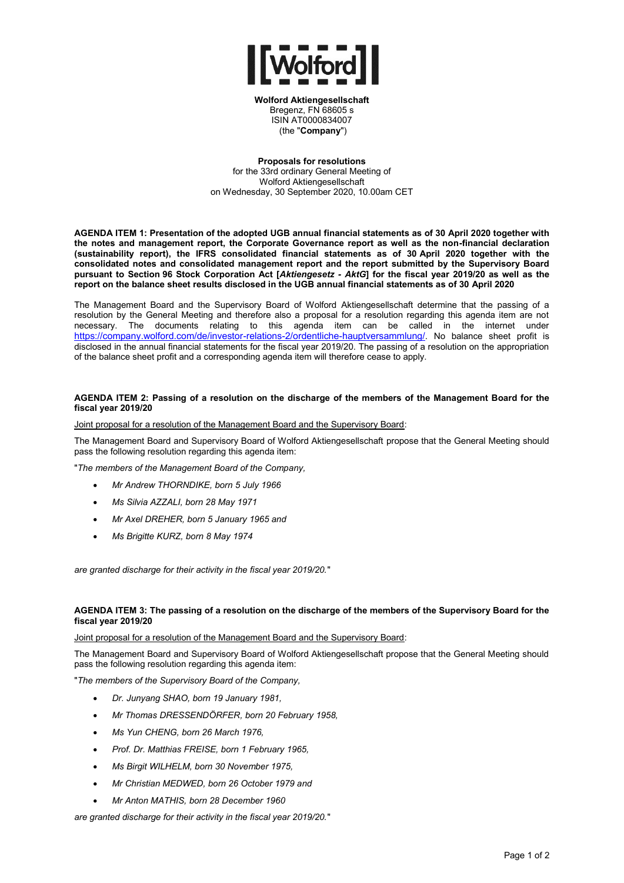

**Wolford Aktiengesellschaft** Bregenz, FN 68605 s ISIN AT0000834007 (the "**Company**")

**Proposals for resolutions** for the 33rd ordinary General Meeting of Wolford Aktiengesellschaft on Wednesday, 30 September 2020, 10.00am CET

**AGENDA ITEM 1: Presentation of the adopted UGB annual financial statements as of 30 April 2020 together with the notes and management report, the Corporate Governance report as well as the non-financial declaration (sustainability report), the IFRS consolidated financial statements as of 30 April 2020 together with the consolidated notes and consolidated management report and the report submitted by the Supervisory Board pursuant to Section 96 Stock Corporation Act [***Aktiengesetz - AktG***] for the fiscal year 2019/20 as well as the report on the balance sheet results disclosed in the UGB annual financial statements as of 30 April 2020** 

The Management Board and the Supervisory Board of Wolford Aktiengesellschaft determine that the passing of a resolution by the General Meeting and therefore also a proposal for a resolution regarding this agenda item are not necessary. The documents relating to this agenda item can be called in the internet under [https://company.wolford.com/de/investor-relations-2/ordentliche-hauptversammlung/](https://company.wolford.com/de/investor-relations-2/ordentliche-hauptversammlung/32-ordentliche-hauptversammlung-2/). No balance sheet profit is disclosed in the annual financial statements for the fiscal year 2019/20. The passing of a resolution on the appropriation of the balance sheet profit and a corresponding agenda item will therefore cease to apply.

# **AGENDA ITEM 2: Passing of a resolution on the discharge of the members of the Management Board for the fiscal year 2019/20**

Joint proposal for a resolution of the Management Board and the Supervisory Board:

The Management Board and Supervisory Board of Wolford Aktiengesellschaft propose that the General Meeting should pass the following resolution regarding this agenda item:

"*The members of the Management Board of the Company,* 

- *Mr Andrew THORNDIKE, born 5 July 1966*
- *Ms Silvia AZZALI, born 28 May 1971*
- *Mr Axel DREHER, born 5 January 1965 and*
- *Ms Brigitte KURZ, born 8 May 1974*

*are granted discharge for their activity in the fiscal year 2019/20.*"

# **AGENDA ITEM 3: The passing of a resolution on the discharge of the members of the Supervisory Board for the fiscal year 2019/20**

## Joint proposal for a resolution of the Management Board and the Supervisory Board:

The Management Board and Supervisory Board of Wolford Aktiengesellschaft propose that the General Meeting should pass the following resolution regarding this agenda item:

"*The members of the Supervisory Board of the Company,* 

- *Dr. Junyang SHAO, born 19 January 1981,*
- *Mr Thomas DRESSENDÖRFER, born 20 February 1958,*
- *Ms Yun CHENG, born 26 March 1976,*
- *Prof. Dr. Matthias FREISE, born 1 February 1965,*
- *Ms Birgit WILHELM, born 30 November 1975,*
- *Mr Christian MEDWED, born 26 October 1979 and*
- *Mr Anton MATHIS, born 28 December 1960*

*are granted discharge for their activity in the fiscal year 2019/20.*"